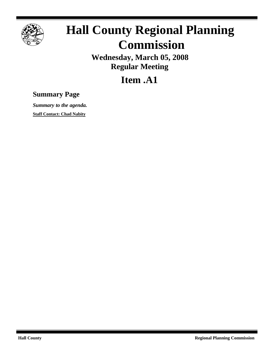

## **Hall County Regional Planning Commission**

**Wednesday, March 05, 2008 Regular Meeting**

**Item .A1**

## **Summary Page**

*Summary to the agenda.* **Staff Contact: Chad Nabity**